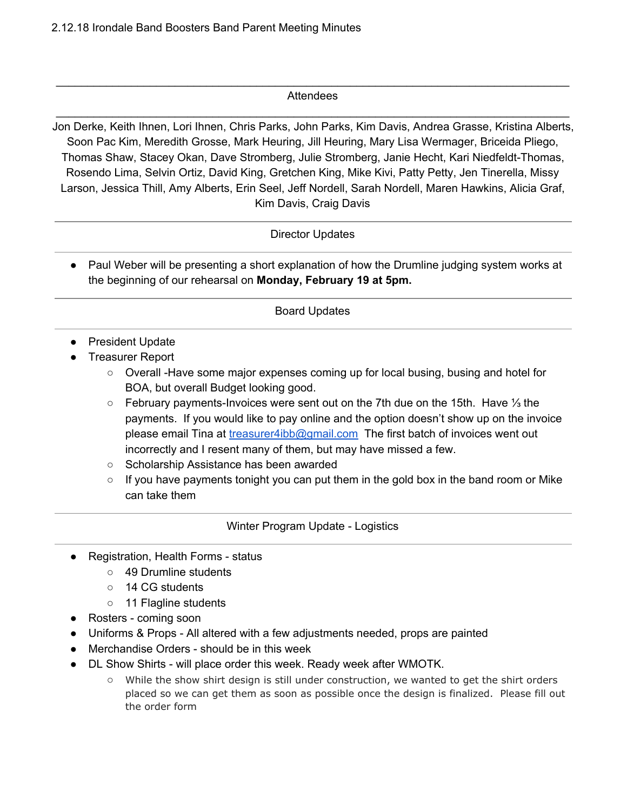## \_\_\_\_\_\_\_\_\_\_\_\_\_\_\_\_\_\_\_\_\_\_\_\_\_\_\_\_\_\_\_\_\_\_\_\_\_\_\_\_\_\_\_\_\_\_\_\_\_\_\_\_\_\_\_\_\_\_\_\_\_\_\_\_\_\_\_\_\_\_\_\_\_\_\_\_\_\_\_\_\_\_ Attendees \_\_\_\_\_\_\_\_\_\_\_\_\_\_\_\_\_\_\_\_\_\_\_\_\_\_\_\_\_\_\_\_\_\_\_\_\_\_\_\_\_\_\_\_\_\_\_\_\_\_\_\_\_\_\_\_\_\_\_\_\_\_\_\_\_\_\_\_\_\_\_\_\_\_\_\_\_\_\_\_\_\_

Jon Derke, Keith Ihnen, Lori Ihnen, Chris Parks, John Parks, Kim Davis, Andrea Grasse, Kristina Alberts, Soon Pac Kim, Meredith Grosse, Mark Heuring, Jill Heuring, Mary Lisa Wermager, Briceida Pliego, Thomas Shaw, Stacey Okan, Dave Stromberg, Julie Stromberg, Janie Hecht, Kari Niedfeldt-Thomas, Rosendo Lima, Selvin Ortiz, David King, Gretchen King, Mike Kivi, Patty Petty, Jen Tinerella, Missy Larson, Jessica Thill, Amy Alberts, Erin Seel, Jeff Nordell, Sarah Nordell, Maren Hawkins, Alicia Graf, Kim Davis, Craig Davis

# Director Updates

● Paul Weber will be presenting a short explanation of how the Drumline judging system works at the beginning of our rehearsal on **Monday, February 19 at 5pm.**

## Board Updates

- President Update
- Treasurer Report
	- Overall -Have some major expenses coming up for local busing, busing and hotel for BOA, but overall Budget looking good.
	- February payments-Invoices were sent out on the 7th due on the 15th. Have ⅓ the payments. If you would like to pay online and the option doesn't show up on the invoice please email Tina at [treasurer4ibb@gmail.com](mailto:treasurer4ibb@gmail.com) The first batch of invoices went out incorrectly and I resent many of them, but may have missed a few.
	- Scholarship Assistance has been awarded
	- $\circ$  If you have payments tonight you can put them in the gold box in the band room or Mike can take them

Winter Program Update - Logistics

- Registration, Health Forms status
	- 49 Drumline students
	- 14 CG students
	- 11 Flagline students
- Rosters coming soon
- Uniforms & Props All altered with a few adjustments needed, props are painted
- Merchandise Orders should be in this week
- DL Show Shirts will place order this week. Ready week after WMOTK.
	- While the show shirt design is still under construction, we wanted to get the shirt orders placed so we can get them as soon as possible once the design is finalized. Please fill out the order form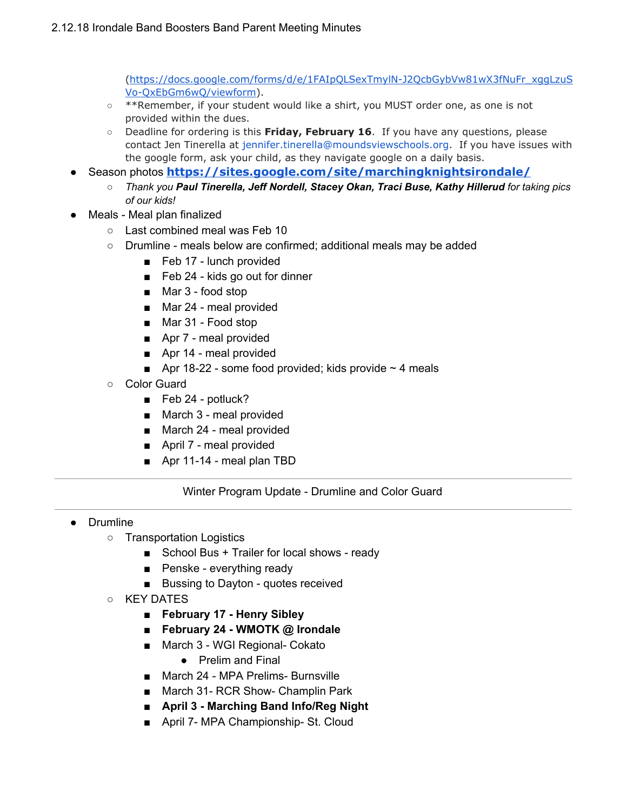([https://docs.google.com/forms/d/e/1FAIpQLSexTmylN-J2QcbGybVw81wX3fNuFr\\_xggLzuS](https://docs.google.com/forms/d/e/1FAIpQLSexTmylN-J2QcbGybVw81wX3fNuFr_xggLzuSVo-QxEbGm6wQ/viewform) [Vo-QxEbGm6wQ/viewform](https://docs.google.com/forms/d/e/1FAIpQLSexTmylN-J2QcbGybVw81wX3fNuFr_xggLzuSVo-QxEbGm6wQ/viewform)).

- \*\*Remember, if your student would like a shirt, you MUST order one, as one is not provided within the dues.
- Deadline for ordering is this **Friday, February 16**. If you have any questions, please contact Jen Tinerella at jennifer.tinerella@moundsviewschools.org. If you have issues with the google form, ask your child, as they navigate google on a daily basis.
- Season photos **<https://sites.google.com/site/marchingknightsirondale/>**
	- *○ Thank you Paul Tinerella, Jeff Nordell, Stacey Okan, Traci Buse, Kathy Hillerud for taking pics of our kids!*
	- Meals Meal plan finalized
		- Last combined meal was Feb 10
		- Drumline meals below are confirmed; additional meals may be added
			- Feb 17 lunch provided
			- Feb 24 kids go out for dinner
			- Mar 3 food stop
			- Mar 24 meal provided
			- Mar 31 Food stop
			- Apr 7 meal provided
			- Apr 14 meal provided
			- **Apr 18-22 some food provided; kids provide**  $\sim$  **4 meals**
		- Color Guard
			- Feb 24 potluck?
			- March 3 meal provided
			- March 24 meal provided
			- April 7 meal provided
			- Apr 11-14 meal plan TBD

# Winter Program Update - Drumline and Color Guard

- **Drumline** 
	- Transportation Logistics
		- School Bus + Trailer for local shows ready
		- Penske everything ready
		- Bussing to Dayton quotes received
	- KEY DATES
		- **■ February 17 - Henry Sibley**
		- **■ February 24 - WMOTK @ Irondale**
		- March 3 WGI Regional- Cokato
			- Prelim and Final
		- March 24 MPA Prelims- Burnsville
		- March 31- RCR Show- Champlin Park
		- **■ April 3 - Marching Band Info/Reg Night**
		- April 7- MPA Championship- St. Cloud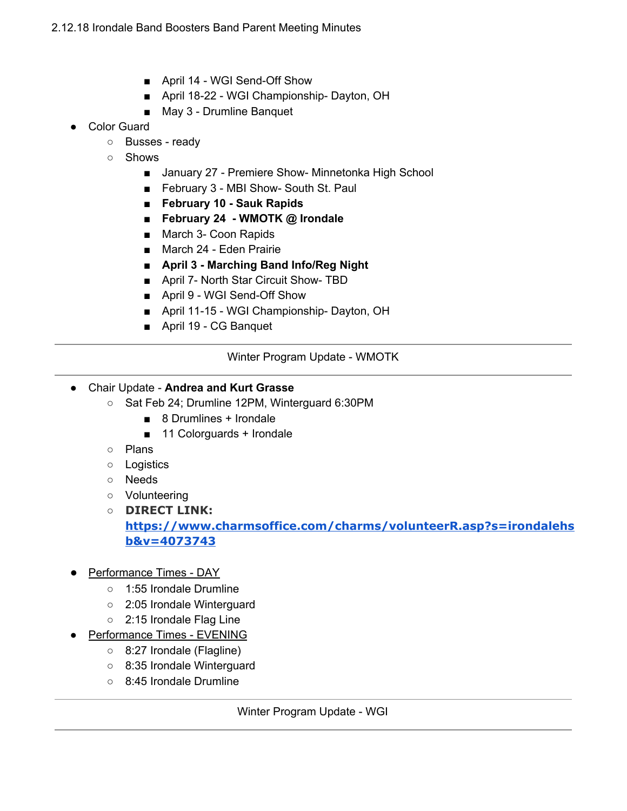- April 14 WGI Send-Off Show
- April 18-22 WGI Championship- Dayton, OH
- May 3 Drumline Banquet
- Color Guard
	- Busses ready
	- Shows
		- January 27 Premiere Show- Minnetonka High School
		- February 3 MBI Show- South St. Paul
		- **■ February 10 - Sauk Rapids**
		- **■ February 24 - WMOTK @ Irondale**
		- March 3- Coon Rapids
		- March 24 Eden Prairie
		- **April 3 - Marching Band Info/Reg Night**
		- April 7- North Star Circuit Show- TBD
		- April 9 WGI Send-Off Show
		- April 11-15 WGI Championship- Dayton, OH
		- April 19 CG Banquet

Winter Program Update - WMOTK

## ● Chair Update - **Andrea and Kurt Grasse**

○ Sat Feb 24; Drumline 12PM, Winterguard 6:30PM

- 8 Drumlines + Irondale
- 11 Colorguards + Irondale
- Plans
- Logistics
- Needs
- Volunteering
- **DIRECT LINK:**

**[https://www.charmsoffice.com/charms/volunteerR.asp?s=irondalehs](https://www.charmsoffice.com/charms/volunteerR.asp?s=irondalehsb&v=4073743) [b&v=4073743](https://www.charmsoffice.com/charms/volunteerR.asp?s=irondalehsb&v=4073743)**

- Performance Times DAY
	- 1:55 Irondale Drumline
	- 2:05 Irondale Winterguard
	- 2:15 Irondale Flag Line
- Performance Times EVENING
	- 8:27 Irondale (Flagline)
	- 8:35 Irondale Winterguard
	- 8:45 Irondale Drumline

Winter Program Update - WGI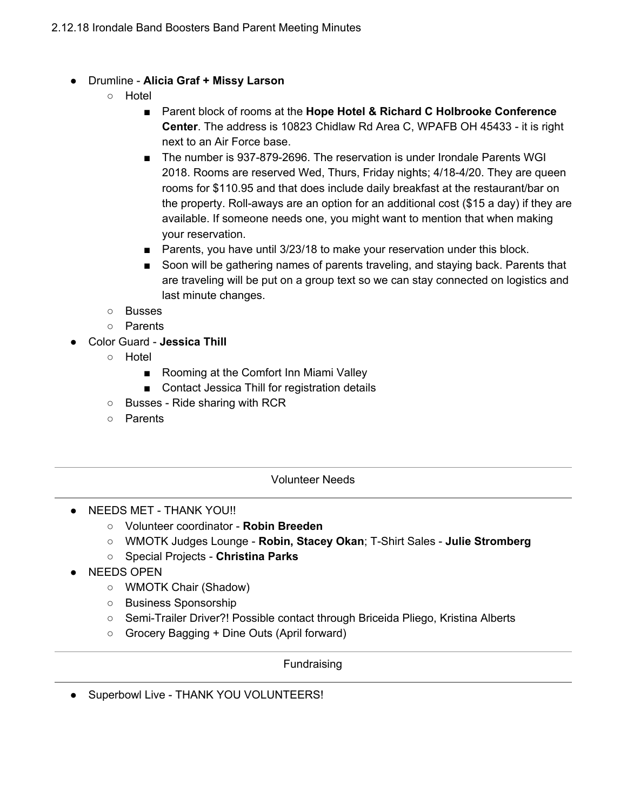# ● Drumline - **Alicia Graf + Missy Larson**

- Hotel
	- Parent block of rooms at the **Hope Hotel & Richard C Holbrooke Conference Center**. The address is 10823 Chidlaw Rd Area C, WPAFB OH 45433 - it is right next to an Air Force base.
	- The number is 937-879-2696. The reservation is under Irondale Parents WGI 2018. Rooms are reserved Wed, Thurs, Friday nights; 4/18-4/20. They are queen rooms for \$110.95 and that does include daily breakfast at the restaurant/bar on the property. Roll-aways are an option for an additional cost (\$15 a day) if they are available. If someone needs one, you might want to mention that when making your reservation.
	- Parents, you have until 3/23/18 to make your reservation under this block.
	- Soon will be gathering names of parents traveling, and staying back. Parents that are traveling will be put on a group text so we can stay connected on logistics and last minute changes.
- Busses
- Parents
- Color Guard **Jessica Thill**
	- Hotel
		- Rooming at the Comfort Inn Miami Valley
		- Contact Jessica Thill for registration details
	- Busses Ride sharing with RCR
	- Parents

#### Volunteer Needs

- NEEDS MET THANK YOU!!
	- Volunteer coordinator **Robin Breeden**
	- WMOTK Judges Lounge **Robin, Stacey Okan**; T-Shirt Sales **Julie Stromberg**
	- Special Projects **Christina Parks**
- **NEEDS OPEN** 
	- WMOTK Chair (Shadow)
	- Business Sponsorship
	- Semi-Trailer Driver?! Possible contact through Briceida Pliego, Kristina Alberts
	- Grocery Bagging + Dine Outs (April forward)

#### Fundraising

● Superbowl Live - THANK YOU VOLUNTEERS!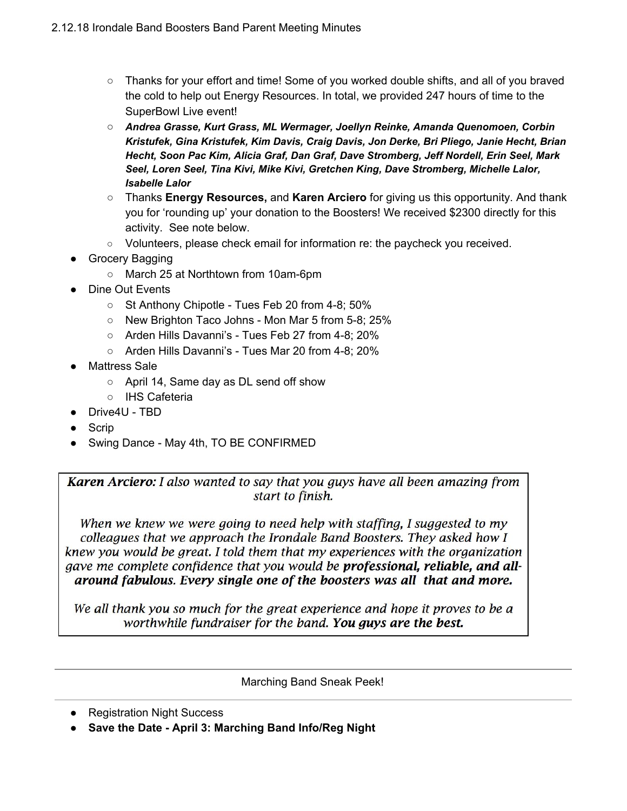- Thanks for your effort and time! Some of you worked double shifts, and all of you braved the cold to help out Energy Resources. In total, we provided 247 hours of time to the SuperBowl Live event!
- *Andrea Grasse, Kurt Grass, ML Wermager, Joellyn Reinke, Amanda Quenomoen, Corbin Kristufek, Gina Kristufek, Kim Davis, Craig Davis, Jon Derke, Bri Pliego, Janie Hecht, Brian Hecht, Soon Pac Kim, Alicia Graf, Dan Graf, Dave Stromberg, Jeff Nordell, Erin Seel, Mark Seel, Loren Seel, Tina Kivi, Mike Kivi, Gretchen King, Dave Stromberg, Michelle Lalor, Isabelle Lalor*
- Thanks **Energy Resources,** and **Karen Arciero** for giving us this opportunity. And thank you for 'rounding up' your donation to the Boosters! We received \$2300 directly for this activity. See note below.
- Volunteers, please check email for information re: the paycheck you received.
- **Grocery Bagging** 
	- March 25 at Northtown from 10am-6pm
- Dine Out Events
	- St Anthony Chipotle Tues Feb 20 from 4-8; 50%
	- New Brighton Taco Johns Mon Mar 5 from 5-8; 25%
	- Arden Hills Davanni's Tues Feb 27 from 4-8; 20%
	- Arden Hills Davanni's Tues Mar 20 from 4-8; 20%
- **Mattress Sale** 
	- April 14, Same day as DL send off show
	- IHS Cafeteria
- Drive4U TBD
- Scrip
- Swing Dance May 4th, TO BE CONFIRMED

Karen Arciero: I also wanted to say that you guys have all been amazing from start to finish.

When we knew we were going to need help with staffing, I suggested to my colleagues that we approach the Irondale Band Boosters. They asked how I knew you would be great. I told them that my experiences with the organization gave me complete confidence that you would be **professional, reliable, and all**around fabulous. Every single one of the boosters was all that and more.

We all thank you so much for the great experience and hope it proves to be a worthwhile fundraiser for the band. You guys are the best.

Marching Band Sneak Peek!

- Registration Night Success
- **Save the Date - April 3: Marching Band Info/Reg Night**